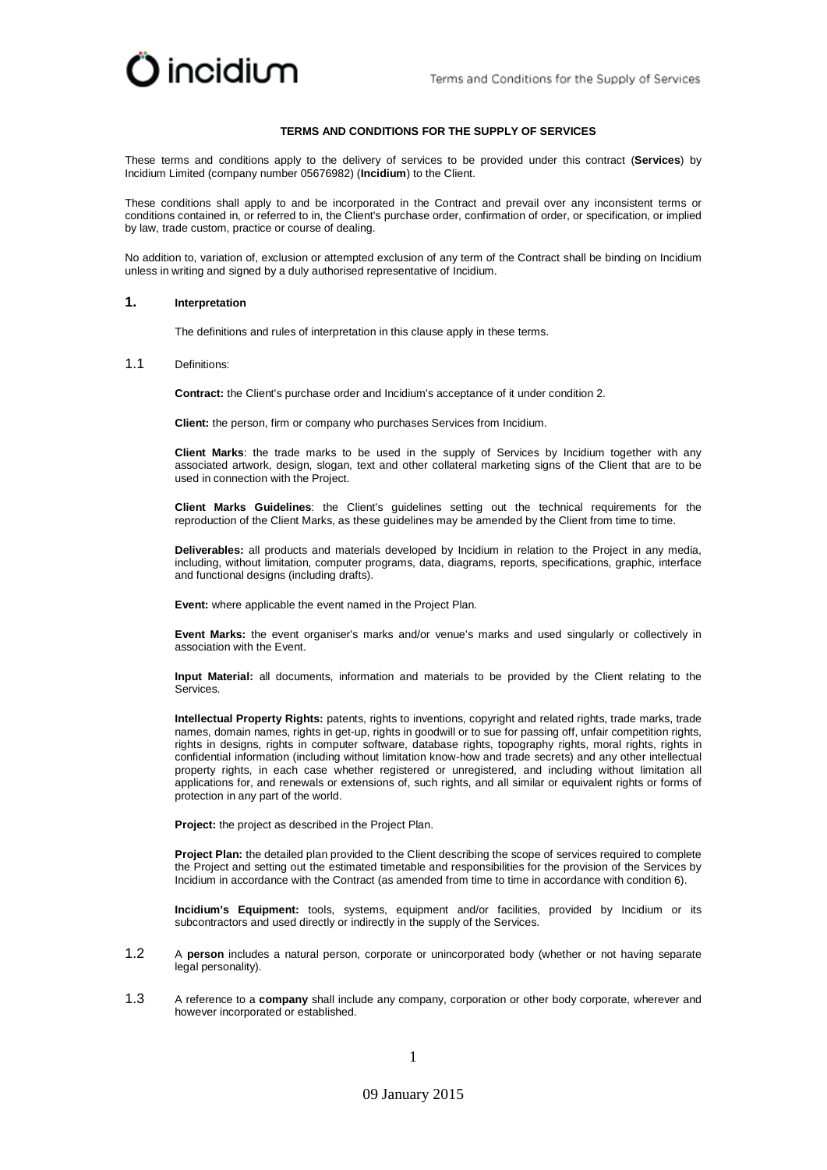

## **TERMS AND CONDITIONS FOR THE SUPPLY OF SERVICES**

These terms and conditions apply to the delivery of services to be provided under this contract (**Services**) by Incidium Limited (company number 05676982) (**Incidium**) to the Client.

These conditions shall apply to and be incorporated in the Contract and prevail over any inconsistent terms or conditions contained in, or referred to in, the Client's purchase order, confirmation of order, or specification, or implied by law, trade custom, practice or course of dealing.

No addition to, variation of, exclusion or attempted exclusion of any term of the Contract shall be binding on Incidium unless in writing and signed by a duly authorised representative of Incidium.

## **1. Interpretation**

The definitions and rules of interpretation in this clause apply in these terms.

1.1 Definitions:

**Contract:** the Client's purchase order and Incidium's acceptance of it under conditio[n 2.](#page-1-0)

**Client:** the person, firm or company who purchases Services from Incidium.

**Client Marks**: the trade marks to be used in the supply of Services by Incidium together with any associated artwork, design, slogan, text and other collateral marketing signs of the Client that are to be used in connection with the Project.

**Client Marks Guidelines**: the Client's guidelines setting out the technical requirements for the reproduction of the Client Marks, as these guidelines may be amended by the Client from time to time.

**Deliverables:** all products and materials developed by Incidium in relation to the Project in any media, including, without limitation, computer programs, data, diagrams, reports, specifications, graphic, interface and functional designs (including drafts).

**Event:** where applicable the event named in the Project Plan.

**Event Marks:** the event organiser's marks and/or venue's marks and used singularly or collectively in association with the Event.

**Input Material:** all documents, information and materials to be provided by the Client relating to the Services.

**Intellectual Property Rights:** patents, rights to inventions, copyright and related rights, trade marks, trade names, domain names, rights in get-up, rights in goodwill or to sue for passing off, unfair competition rights, rights in designs, rights in computer software, database rights, topography rights, moral rights, rights in confidential information (including without limitation know-how and trade secrets) and any other intellectual property rights, in each case whether registered or unregistered, and including without limitation all applications for, and renewals or extensions of, such rights, and all similar or equivalent rights or forms of protection in any part of the world.

**Project:** the project as described in the Project Plan.

**Project Plan:** the detailed plan provided to the Client describing the scope of services required to complete the Project and setting out the estimated timetable and responsibilities for the provision of the Services by Incidium in accordance with the Contract (as amended from time to time in accordance with conditio[n 6\)](#page-3-0).

**Incidium's Equipment:** tools, systems, equipment and/or facilities, provided by Incidium or its subcontractors and used directly or indirectly in the supply of the Services.

- 1.2 A **person** includes a natural person, corporate or unincorporated body (whether or not having separate legal personality).
- 1.3 A reference to a **company** shall include any company, corporation or other body corporate, wherever and however incorporated or established.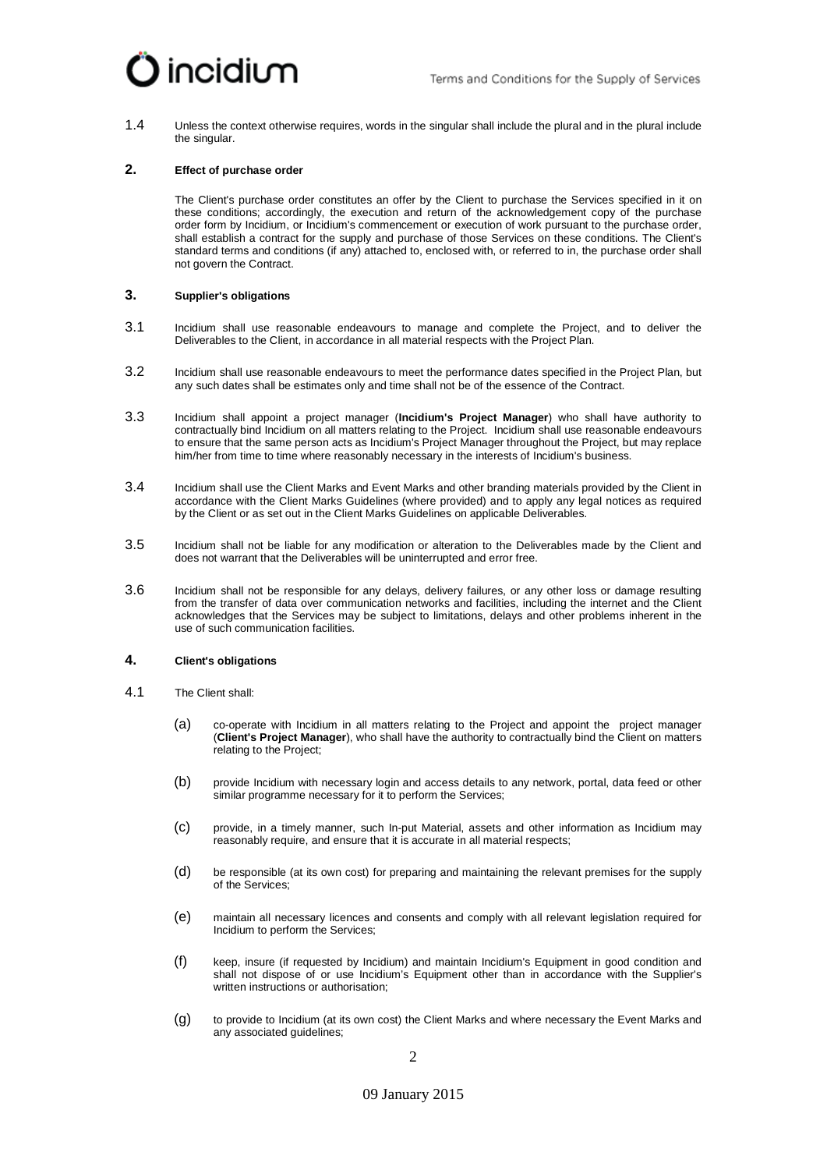

1.4 Unless the context otherwise requires, words in the singular shall include the plural and in the plural include the singular.

# <span id="page-1-0"></span>**2. Effect of purchase order**

The Client's purchase order constitutes an offer by the Client to purchase the Services specified in it on these conditions; accordingly, the execution and return of the acknowledgement copy of the purchase order form by Incidium, or Incidium's commencement or execution of work pursuant to the purchase order, shall establish a contract for the supply and purchase of those Services on these conditions. The Client's standard terms and conditions (if any) attached to, enclosed with, or referred to in, the purchase order shall not govern the Contract.

## **3. Supplier's obligations**

- 3.1 Incidium shall use reasonable endeavours to manage and complete the Project, and to deliver the Deliverables to the Client, in accordance in all material respects with the Project Plan.
- 3.2 Incidium shall use reasonable endeavours to meet the performance dates specified in the Project Plan, but any such dates shall be estimates only and time shall not be of the essence of the Contract.
- 3.3 Incidium shall appoint a project manager (**Incidium's Project Manager**) who shall have authority to contractually bind Incidium on all matters relating to the Project. Incidium shall use reasonable endeavours to ensure that the same person acts as Incidium's Project Manager throughout the Project, but may replace him/her from time to time where reasonably necessary in the interests of Incidium's business.
- 3.4 Incidium shall use the Client Marks and Event Marks and other branding materials provided by the Client in accordance with the Client Marks Guidelines (where provided) and to apply any legal notices as required by the Client or as set out in the Client Marks Guidelines on applicable Deliverables.
- 3.5 Incidium shall not be liable for any modification or alteration to the Deliverables made by the Client and does not warrant that the Deliverables will be uninterrupted and error free.
- 3.6 Incidium shall not be responsible for any delays, delivery failures, or any other loss or damage resulting from the transfer of data over communication networks and facilities, including the internet and the Client acknowledges that the Services may be subject to limitations, delays and other problems inherent in the use of such communication facilities.

### **4. Client's obligations**

- 4.1 The Client shall:
	- (a) co-operate with Incidium in all matters relating to the Project and appoint the project manager (**Client's Project Manager**), who shall have the authority to contractually bind the Client on matters relating to the Project;
	- (b) provide Incidium with necessary login and access details to any network, portal, data feed or other similar programme necessary for it to perform the Services;
	- (c) provide, in a timely manner, such In-put Material, assets and other information as Incidium may reasonably require, and ensure that it is accurate in all material respects;
	- (d) be responsible (at its own cost) for preparing and maintaining the relevant premises for the supply of the Services;
	- (e) maintain all necessary licences and consents and comply with all relevant legislation required for Incidium to perform the Services;
	- (f) keep, insure (if requested by Incidium) and maintain Incidium's Equipment in good condition and shall not dispose of or use Incidium's Equipment other than in accordance with the Supplier's written instructions or authorisation;
	- (g) to provide to Incidium (at its own cost) the Client Marks and where necessary the Event Marks and any associated guidelines;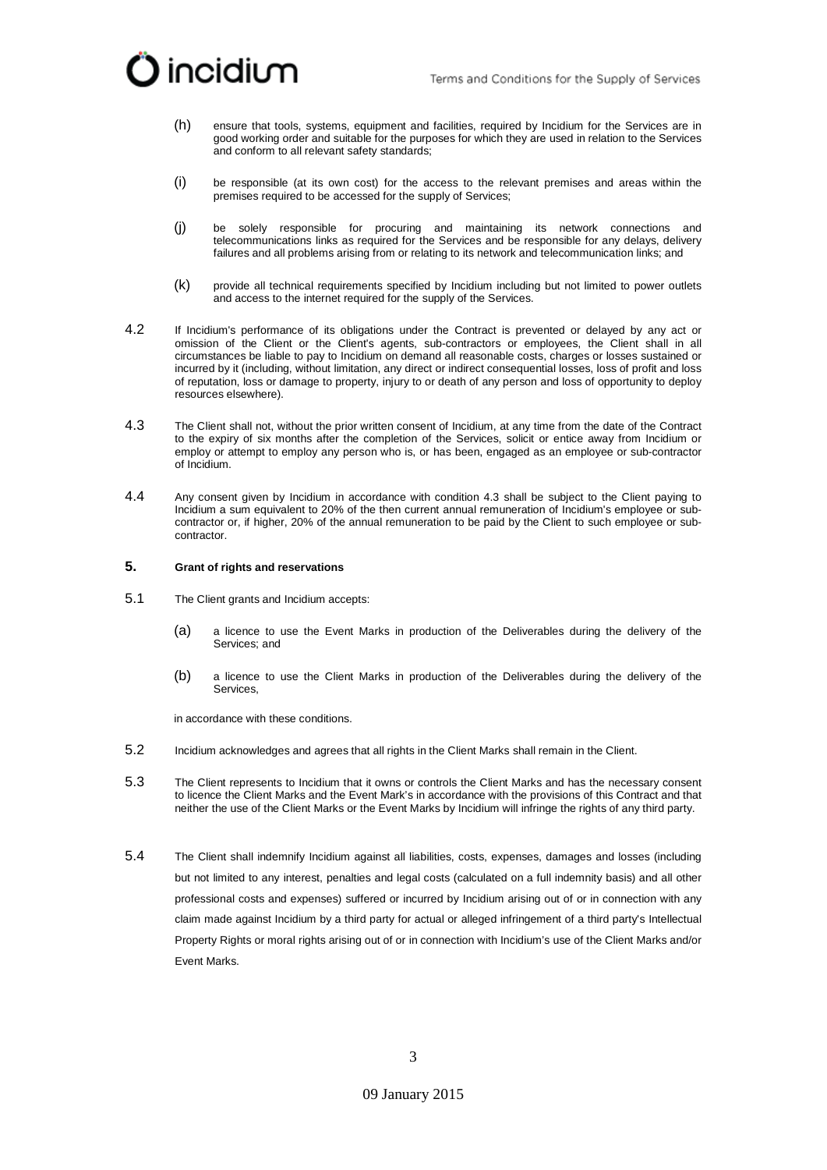

- (h) ensure that tools, systems, equipment and facilities, required by Incidium for the Services are in good working order and suitable for the purposes for which they are used in relation to the Services and conform to all relevant safety standards;
- (i) be responsible (at its own cost) for the access to the relevant premises and areas within the premises required to be accessed for the supply of Services;
- (j) be solely responsible for procuring and maintaining its network connections and telecommunications links as required for the Services and be responsible for any delays, delivery failures and all problems arising from or relating to its network and telecommunication links; and
- (k) provide all technical requirements specified by Incidium including but not limited to power outlets and access to the internet required for the supply of the Services.
- 4.2 If Incidium's performance of its obligations under the Contract is prevented or delayed by any act or omission of the Client or the Client's agents, sub-contractors or employees, the Client shall in all circumstances be liable to pay to Incidium on demand all reasonable costs, charges or losses sustained or incurred by it (including, without limitation, any direct or indirect consequential losses, loss of profit and loss of reputation, loss or damage to property, injury to or death of any person and loss of opportunity to deploy resources elsewhere).
- <span id="page-2-0"></span>4.3 The Client shall not, without the prior written consent of Incidium, at any time from the date of the Contract to the expiry of six months after the completion of the Services, solicit or entice away from Incidium or employ or attempt to employ any person who is, or has been, engaged as an employee or sub-contractor of Incidium.
- 4.4 Any consent given by Incidium in accordance with condition [4.3](#page-2-0) shall be subject to the Client paying to Incidium a sum equivalent to 20% of the then current annual remuneration of Incidium's employee or subcontractor or, if higher, 20% of the annual remuneration to be paid by the Client to such employee or subcontractor.

#### **5. Grant of rights and reservations**

- 5.1 The Client grants and Incidium accepts:
	- (a) a licence to use the Event Marks in production of the Deliverables during the delivery of the Services; and
	- (b) a licence to use the Client Marks in production of the Deliverables during the delivery of the Services,

in accordance with these conditions.

- 5.2 Incidium acknowledges and agrees that all rights in the Client Marks shall remain in the Client.
- 5.3 The Client represents to Incidium that it owns or controls the Client Marks and has the necessary consent to licence the Client Marks and the Event Mark's in accordance with the provisions of this Contract and that neither the use of the Client Marks or the Event Marks by Incidium will infringe the rights of any third party.
- 5.4 The Client shall indemnify Incidium against all liabilities, costs, expenses, damages and losses (including but not limited to any interest, penalties and legal costs (calculated on a full indemnity basis) and all other professional costs and expenses) suffered or incurred by Incidium arising out of or in connection with any claim made against Incidium by a third party for actual or alleged infringement of a third party's Intellectual Property Rights or moral rights arising out of or in connection with Incidium's use of the Client Marks and/or Event Marks.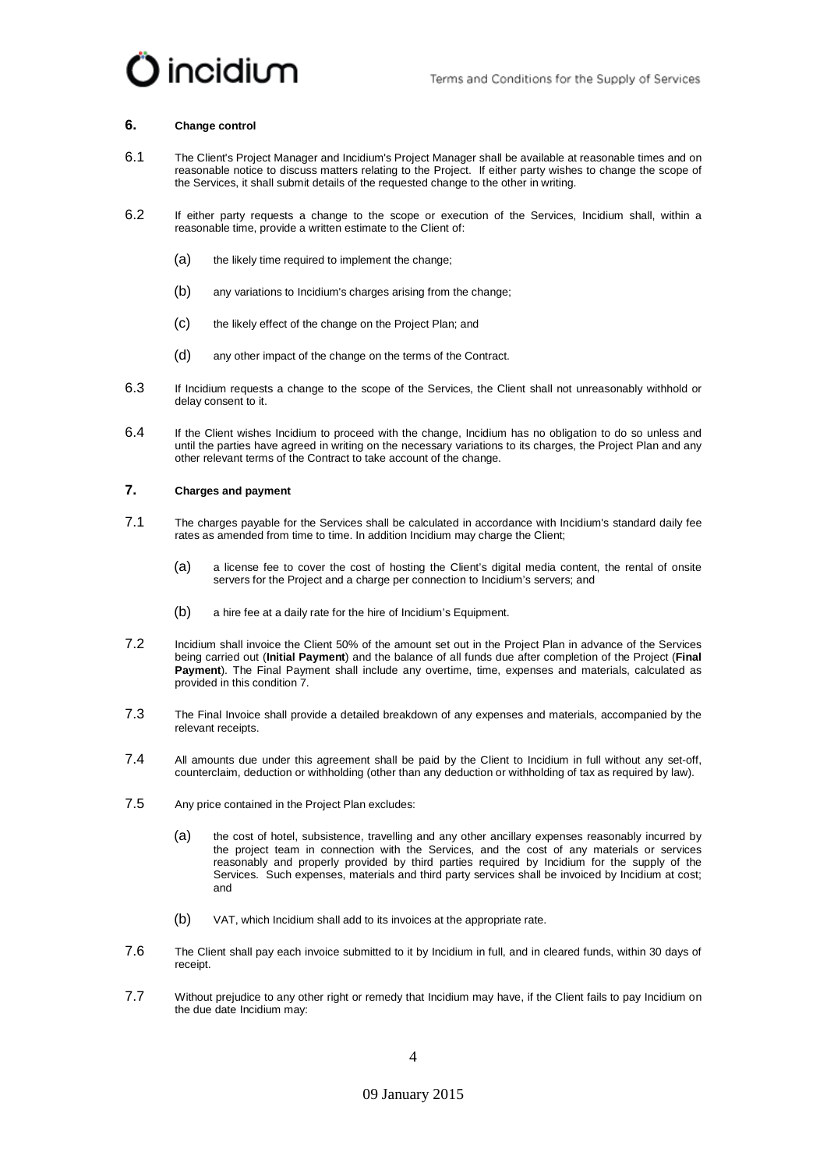

#### <span id="page-3-0"></span>**6. Change control**

- 6.1 The Client's Project Manager and Incidium's Project Manager shall be available at reasonable times and on reasonable notice to discuss matters relating to the Project. If either party wishes to change the scope of the Services, it shall submit details of the requested change to the other in writing.
- 6.2 If either party requests a change to the scope or execution of the Services, Incidium shall, within a reasonable time, provide a written estimate to the Client of:
	- (a) the likely time required to implement the change;
	- (b) any variations to Incidium's charges arising from the change;
	- (c) the likely effect of the change on the Project Plan; and
	- (d) any other impact of the change on the terms of the Contract.
- 6.3 If Incidium requests a change to the scope of the Services, the Client shall not unreasonably withhold or delay consent to it.
- 6.4 If the Client wishes Incidium to proceed with the change, Incidium has no obligation to do so unless and until the parties have agreed in writing on the necessary variations to its charges, the Project Plan and any other relevant terms of the Contract to take account of the change.

### <span id="page-3-1"></span>**7. Charges and payment**

- 7.1 The charges payable for the Services shall be calculated in accordance with Incidium's standard daily fee rates as amended from time to time. In addition Incidium may charge the Client;
	- (a) a license fee to cover the cost of hosting the Client's digital media content, the rental of onsite servers for the Project and a charge per connection to Incidium's servers; and
	- (b) a hire fee at a daily rate for the hire of Incidium's Equipment.
- 7.2 Incidium shall invoice the Client 50% of the amount set out in the Project Plan in advance of the Services being carried out (**Initial Payment**) and the balance of all funds due after completion of the Project (**Final Payment**). The Final Payment shall include any overtime, time, expenses and materials, calculated as provided in this conditio[n 7.](#page-3-1)
- 7.3 The Final Invoice shall provide a detailed breakdown of any expenses and materials, accompanied by the relevant receipts.
- 7.4 All amounts due under this agreement shall be paid by the Client to Incidium in full without any set-off, counterclaim, deduction or withholding (other than any deduction or withholding of tax as required by law).
- 7.5 Any price contained in the Project Plan excludes:
	- (a) the cost of hotel, subsistence, travelling and any other ancillary expenses reasonably incurred by the project team in connection with the Services, and the cost of any materials or services reasonably and properly provided by third parties required by Incidium for the supply of the Services. Such expenses, materials and third party services shall be invoiced by Incidium at cost; and
	- (b) VAT, which Incidium shall add to its invoices at the appropriate rate.
- 7.6 The Client shall pay each invoice submitted to it by Incidium in full, and in cleared funds, within 30 days of receipt.
- 7.7 Without prejudice to any other right or remedy that Incidium may have, if the Client fails to pay Incidium on the due date Incidium may: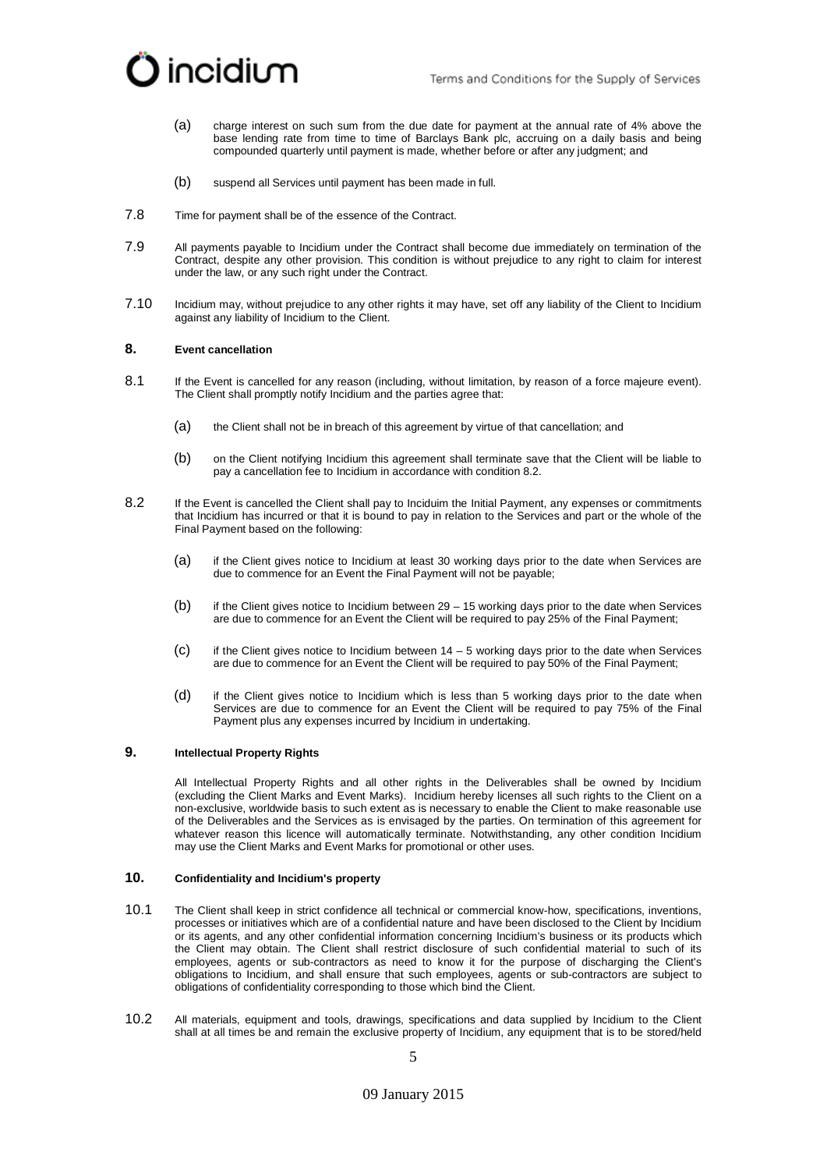

- (a) charge interest on such sum from the due date for payment at the annual rate of 4% above the base lending rate from time to time of Barclays Bank plc, accruing on a daily basis and being compounded quarterly until payment is made, whether before or after any judgment; and
- (b) suspend all Services until payment has been made in full.
- 7.8 Time for payment shall be of the essence of the Contract.
- 7.9 All payments payable to Incidium under the Contract shall become due immediately on termination of the Contract, despite any other provision. This condition is without prejudice to any right to claim for interest under the law, or any such right under the Contract.
- 7.10 Incidium may, without prejudice to any other rights it may have, set off any liability of the Client to Incidium against any liability of Incidium to the Client.

# **8. Event cancellation**

- 8.1 If the Event is cancelled for any reason (including, without limitation, by reason of a force majeure event). The Client shall promptly notify Incidium and the parties agree that:
	- (a) the Client shall not be in breach of this agreement by virtue of that cancellation; and
	- (b) on the Client notifying Incidium this agreement shall terminate save that the Client will be liable to pay a cancellation fee to Incidium in accordance with condition [8.2.](#page-4-0)
- <span id="page-4-0"></span>8.2 If the Event is cancelled the Client shall pay to Inciduim the Initial Payment, any expenses or commitments that Incidium has incurred or that it is bound to pay in relation to the Services and part or the whole of the Final Payment based on the following:
	- (a) if the Client gives notice to Incidium at least 30 working days prior to the date when Services are due to commence for an Event the Final Payment will not be payable;
	- (b) if the Client gives notice to Incidium between 29 15 working days prior to the date when Services are due to commence for an Event the Client will be required to pay 25% of the Final Payment;
	- $(C)$  if the Client gives notice to Incidium between 14 5 working days prior to the date when Services are due to commence for an Event the Client will be required to pay 50% of the Final Payment;
	- (d) if the Client gives notice to Incidium which is less than 5 working days prior to the date when Services are due to commence for an Event the Client will be required to pay 75% of the Final Payment plus any expenses incurred by Incidium in undertaking.

## <span id="page-4-2"></span>**9. Intellectual Property Rights**

All Intellectual Property Rights and all other rights in the Deliverables shall be owned by Incidium (excluding the Client Marks and Event Marks). Incidium hereby licenses all such rights to the Client on a non-exclusive, worldwide basis to such extent as is necessary to enable the Client to make reasonable use of the Deliverables and the Services as is envisaged by the parties. On termination of this agreement for whatever reason this licence will automatically terminate. Notwithstanding, any other condition Incidium may use the Client Marks and Event Marks for promotional or other uses.

# <span id="page-4-1"></span>**10. Confidentiality and Incidium's property**

- 10.1 The Client shall keep in strict confidence all technical or commercial know-how, specifications, inventions, processes or initiatives which are of a confidential nature and have been disclosed to the Client by Incidium or its agents, and any other confidential information concerning Incidium's business or its products which the Client may obtain. The Client shall restrict disclosure of such confidential material to such of its employees, agents or sub-contractors as need to know it for the purpose of discharging the Client's obligations to Incidium, and shall ensure that such employees, agents or sub-contractors are subject to obligations of confidentiality corresponding to those which bind the Client.
- 10.2 All materials, equipment and tools, drawings, specifications and data supplied by Incidium to the Client shall at all times be and remain the exclusive property of Incidium, any equipment that is to be stored/held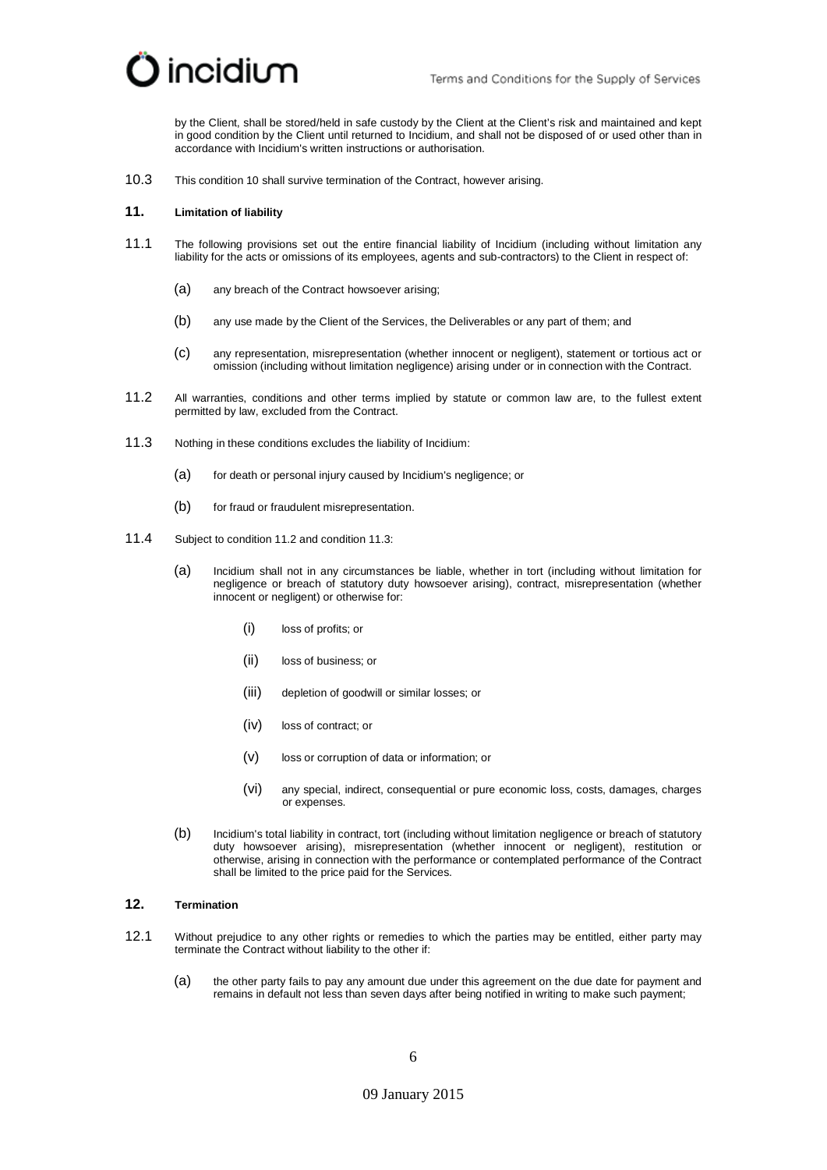

by the Client, shall be stored/held in safe custody by the Client at the Client's risk and maintained and kept in good condition by the Client until returned to Incidium, and shall not be disposed of or used other than in accordance with Incidium's written instructions or authorisation.

10.3 This conditio[n 10](#page-4-1) shall survive termination of the Contract, however arising.

### **11. Limitation of liability**

- 11.1 The following provisions set out the entire financial liability of Incidium (including without limitation any liability for the acts or omissions of its employees, agents and sub-contractors) to the Client in respect of:
	- (a) any breach of the Contract howsoever arising;
	- (b) any use made by the Client of the Services, the Deliverables or any part of them; and
	- (c) any representation, misrepresentation (whether innocent or negligent), statement or tortious act or omission (including without limitation negligence) arising under or in connection with the Contract.
- <span id="page-5-0"></span>11.2 All warranties, conditions and other terms implied by statute or common law are, to the fullest extent permitted by law, excluded from the Contract.
- <span id="page-5-1"></span>11.3 Nothing in these conditions excludes the liability of Incidium:
	- (a) for death or personal injury caused by Incidium's negligence; or
	- (b) for fraud or fraudulent misrepresentation.
- 11.4 Subject to condition [11.2](#page-5-0) and conditio[n 11.3:](#page-5-1)
	- (a) Incidium shall not in any circumstances be liable, whether in tort (including without limitation for negligence or breach of statutory duty howsoever arising), contract, misrepresentation (whether innocent or negligent) or otherwise for:
		- (i) loss of profits; or
		- (ii) loss of business; or
		- (iii) depletion of goodwill or similar losses; or
		- (iv) loss of contract; or
		- (v) loss or corruption of data or information; or
		- (vi) any special, indirect, consequential or pure economic loss, costs, damages, charges or expenses.
	- (b) Incidium's total liability in contract, tort (including without limitation negligence or breach of statutory duty howsoever arising), misrepresentation (whether innocent or negligent), restitution or otherwise, arising in connection with the performance or contemplated performance of the Contract shall be limited to the price paid for the Services.

# **12. Termination**

- 12.1 Without prejudice to any other rights or remedies to which the parties may be entitled, either party may terminate the Contract without liability to the other if:
	- (a) the other party fails to pay any amount due under this agreement on the due date for payment and remains in default not less than seven days after being notified in writing to make such payment;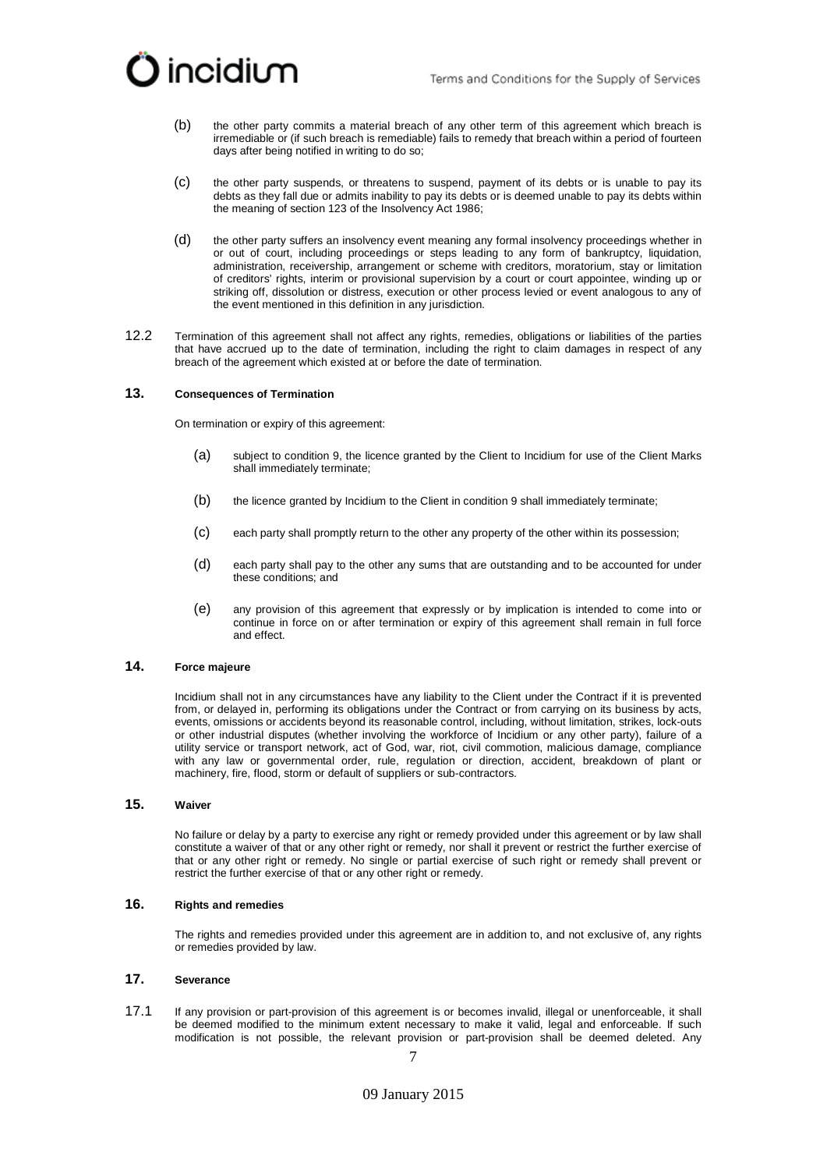

- (b) the other party commits a material breach of any other term of this agreement which breach is irremediable or (if such breach is remediable) fails to remedy that breach within a period of fourteen days after being notified in writing to do so;
- (c) the other party suspends, or threatens to suspend, payment of its debts or is unable to pay its debts as they fall due or admits inability to pay its debts or is deemed unable to pay its debts within the meaning of section 123 of the Insolvency Act 1986;
- (d) the other party suffers an insolvency event meaning any formal insolvency proceedings whether in or out of court, including proceedings or steps leading to any form of bankruptcy, liquidation, administration, receivership, arrangement or scheme with creditors, moratorium, stay or limitation of creditors' rights, interim or provisional supervision by a court or court appointee, winding up or striking off, dissolution or distress, execution or other process levied or event analogous to any of the event mentioned in this definition in any jurisdiction.
- 12.2 Termination of this agreement shall not affect any rights, remedies, obligations or liabilities of the parties that have accrued up to the date of termination, including the right to claim damages in respect of any breach of the agreement which existed at or before the date of termination.

#### **13. Consequences of Termination**

On termination or expiry of this agreement:

- (a) subject to condition 9, the licence granted by the Client to Incidium for use of the Client Marks shall immediately terminate;
- (b) the licence granted by Incidium to the Client in condition [9](#page-4-2) shall immediately terminate;
- (c) each party shall promptly return to the other any property of the other within its possession;
- (d) each party shall pay to the other any sums that are outstanding and to be accounted for under these conditions; and
- (e) any provision of this agreement that expressly or by implication is intended to come into or continue in force on or after termination or expiry of this agreement shall remain in full force and effect.

# **14. Force majeure**

Incidium shall not in any circumstances have any liability to the Client under the Contract if it is prevented from, or delayed in, performing its obligations under the Contract or from carrying on its business by acts, events, omissions or accidents beyond its reasonable control, including, without limitation, strikes, lock-outs or other industrial disputes (whether involving the workforce of Incidium or any other party), failure of a utility service or transport network, act of God, war, riot, civil commotion, malicious damage, compliance with any law or governmental order, rule, regulation or direction, accident, breakdown of plant or machinery, fire, flood, storm or default of suppliers or sub-contractors.

## **15. Waiver**

No failure or delay by a party to exercise any right or remedy provided under this agreement or by law shall constitute a waiver of that or any other right or remedy, nor shall it prevent or restrict the further exercise of that or any other right or remedy. No single or partial exercise of such right or remedy shall prevent or restrict the further exercise of that or any other right or remedy.

# **16. Rights and remedies**

The rights and remedies provided under this agreement are in addition to, and not exclusive of, any rights or remedies provided by law.

# **17. Severance**

17.1 If any provision or part-provision of this agreement is or becomes invalid, illegal or unenforceable, it shall be deemed modified to the minimum extent necessary to make it valid, legal and enforceable. If such modification is not possible, the relevant provision or part-provision shall be deemed deleted. Any